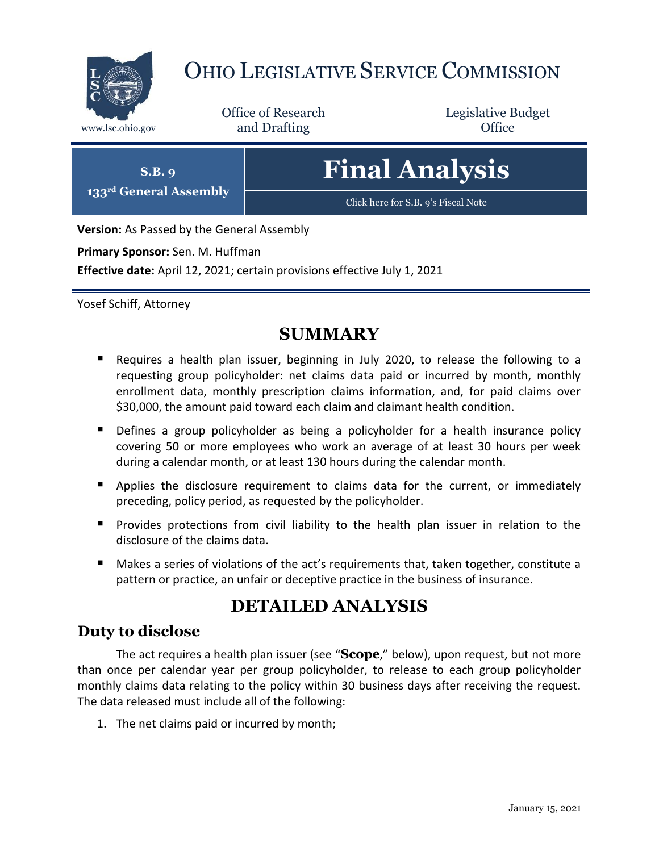

# OHIO LEGISLATIVE SERVICE COMMISSION

Office of Research www.lsc.ohio.gov **and Drafting Office** 

Legislative Budget

**S.B. 9 133rd General Assembly**

# **Final Analysis**

[Click here for S.B. 9](https://www.legislature.ohio.gov/legislation/legislation-documents?id=GA133-SB-9)'s Fiscal Note

**Version:** As Passed by the General Assembly

**Primary Sponsor:** Sen. M. Huffman

**Effective date:** April 12, 2021; certain provisions effective July 1, 2021

Yosef Schiff, Attorney

## **SUMMARY**

- Requires a health plan issuer, beginning in July 2020, to release the following to a requesting group policyholder: net claims data paid or incurred by month, monthly enrollment data, monthly prescription claims information, and, for paid claims over \$30,000, the amount paid toward each claim and claimant health condition.
- **Defines a group policyholder as being a policyholder for a health insurance policy** covering 50 or more employees who work an average of at least 30 hours per week during a calendar month, or at least 130 hours during the calendar month.
- Applies the disclosure requirement to claims data for the current, or immediately preceding, policy period, as requested by the policyholder.
- Provides protections from civil liability to the health plan issuer in relation to the disclosure of the claims data.
- Makes a series of violations of the act's requirements that, taken together, constitute a pattern or practice, an unfair or deceptive practice in the business of insurance.

# **DETAILED ANALYSIS**

## **Duty to disclose**

The act requires a health plan issuer (see "**Scope**," below), upon request, but not more than once per calendar year per group policyholder, to release to each group policyholder monthly claims data relating to the policy within 30 business days after receiving the request. The data released must include all of the following:

1. The net claims paid or incurred by month;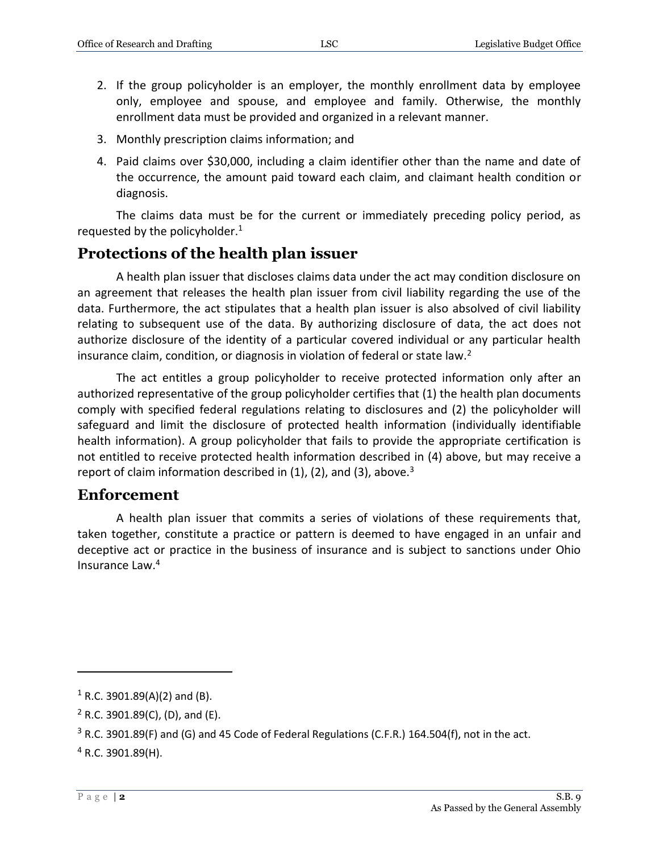- 2. If the group policyholder is an employer, the monthly enrollment data by employee only, employee and spouse, and employee and family. Otherwise, the monthly enrollment data must be provided and organized in a relevant manner.
- 3. Monthly prescription claims information; and
- 4. Paid claims over \$30,000, including a claim identifier other than the name and date of the occurrence, the amount paid toward each claim, and claimant health condition or diagnosis.

The claims data must be for the current or immediately preceding policy period, as requested by the policyholder.<sup>1</sup>

## **Protections of the health plan issuer**

A health plan issuer that discloses claims data under the act may condition disclosure on an agreement that releases the health plan issuer from civil liability regarding the use of the data. Furthermore, the act stipulates that a health plan issuer is also absolved of civil liability relating to subsequent use of the data. By authorizing disclosure of data, the act does not authorize disclosure of the identity of a particular covered individual or any particular health insurance claim, condition, or diagnosis in violation of federal or state law.<sup>2</sup>

The act entitles a group policyholder to receive protected information only after an authorized representative of the group policyholder certifies that (1) the health plan documents comply with specified federal regulations relating to disclosures and (2) the policyholder will safeguard and limit the disclosure of protected health information (individually identifiable health information). A group policyholder that fails to provide the appropriate certification is not entitled to receive protected health information described in (4) above, but may receive a report of claim information described in  $(1)$ ,  $(2)$ , and  $(3)$ , above.<sup>3</sup>

#### **Enforcement**

A health plan issuer that commits a series of violations of these requirements that, taken together, constitute a practice or pattern is deemed to have engaged in an unfair and deceptive act or practice in the business of insurance and is subject to sanctions under Ohio Insurance Law.<sup>4</sup>

 $\overline{a}$ 

 $1$  R.C. 3901.89(A)(2) and (B).

 $2$  R.C. 3901.89(C), (D), and (E).

 $3$  R.C. 3901.89(F) and (G) and 45 Code of Federal Regulations (C.F.R.) 164.504(f), not in the act.

<sup>4</sup> R.C. 3901.89(H).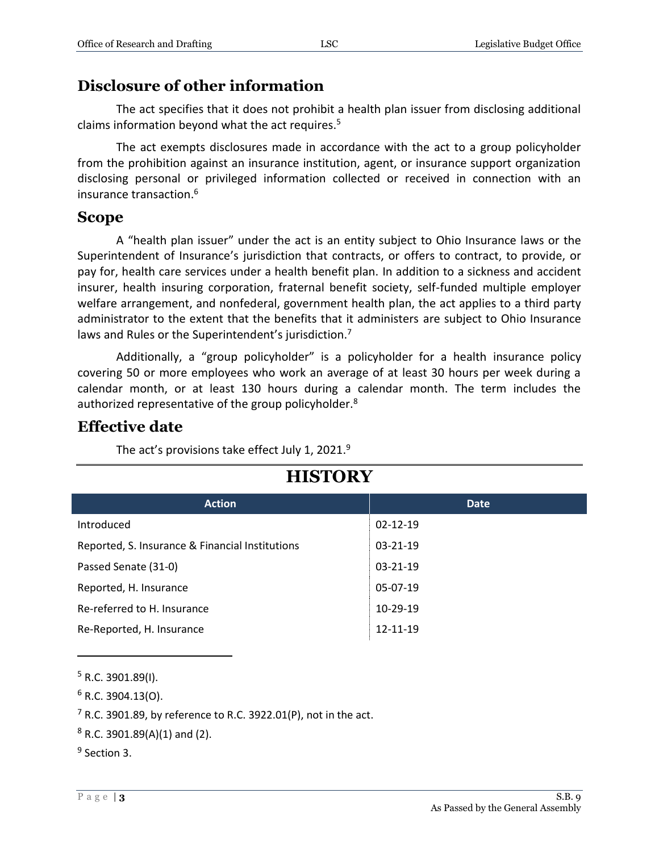### **Disclosure of other information**

The act specifies that it does not prohibit a health plan issuer from disclosing additional claims information beyond what the act requires.<sup>5</sup>

The act exempts disclosures made in accordance with the act to a group policyholder from the prohibition against an insurance institution, agent, or insurance support organization disclosing personal or privileged information collected or received in connection with an insurance transaction.<sup>6</sup>

#### **Scope**

A "health plan issuer" under the act is an entity subject to Ohio Insurance laws or the Superintendent of Insurance's jurisdiction that contracts, or offers to contract, to provide, or pay for, health care services under a health benefit plan. In addition to a sickness and accident insurer, health insuring corporation, fraternal benefit society, self-funded multiple employer welfare arrangement, and nonfederal, government health plan, the act applies to a third party administrator to the extent that the benefits that it administers are subject to Ohio Insurance laws and Rules or the Superintendent's jurisdiction.<sup>7</sup>

Additionally, a "group policyholder" is a policyholder for a health insurance policy covering 50 or more employees who work an average of at least 30 hours per week during a calendar month, or at least 130 hours during a calendar month. The term includes the authorized representative of the group policyholder.<sup>8</sup>

### **Effective date**

The act's provisions take effect July 1, 2021.<sup>9</sup>

| <b>Action</b>                                   | <b>Date</b>    |
|-------------------------------------------------|----------------|
| Introduced                                      | $02 - 12 - 19$ |
| Reported, S. Insurance & Financial Institutions | $03 - 21 - 19$ |
| Passed Senate (31-0)                            | $03 - 21 - 19$ |
| Reported, H. Insurance                          | 05-07-19       |
| Re-referred to H. Insurance                     | $10-29-19$     |
| Re-Reported, H. Insurance                       | 12-11-19       |

# **HISTORY**

 $5$  R.C. 3901.89(I).

 $\overline{a}$ 

 $6$  R.C. 3904.13(O).

 $7$  R.C. 3901.89, by reference to R.C. 3922.01(P), not in the act.

<sup>8</sup> R.C. 3901.89(A)(1) and (2).

<sup>9</sup> Section 3.